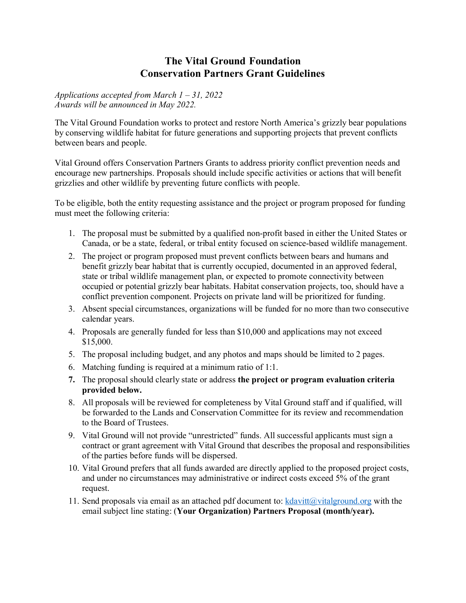## **The Vital Ground Foundation Conservation Partners Grant Guidelines**

*Applications accepted from March 1 – 31, 2022 Awards will be announced in May 2022.*

The Vital Ground Foundation works to protect and restore North America's grizzly bear populations by conserving wildlife habitat for future generations and supporting projects that prevent conflicts between bears and people.

Vital Ground offers Conservation Partners Grants to address priority conflict prevention needs and encourage new partnerships. Proposals should include specific activities or actions that will benefit grizzlies and other wildlife by preventing future conflicts with people.

To be eligible, both the entity requesting assistance and the project or program proposed for funding must meet the following criteria:

- 1. The proposal must be submitted by a qualified non-profit based in either the United States or Canada, or be a state, federal, or tribal entity focused on science-based wildlife management.
- 2. The project or program proposed must prevent conflicts between bears and humans and benefit grizzly bear habitat that is currently occupied, documented in an approved federal, state or tribal wildlife management plan, or expected to promote connectivity between occupied or potential grizzly bear habitats. Habitat conservation projects, too, should have a conflict prevention component. Projects on private land will be prioritized for funding.
- 3. Absent special circumstances, organizations will be funded for no more than two consecutive calendar years.
- 4. Proposals are generally funded for less than \$10,000 and applications may not exceed \$15,000.
- 5. The proposal including budget, and any photos and maps should be limited to 2 pages.
- 6. Matching funding is required at a minimum ratio of 1:1.
- **7.** The proposal should clearly state or address **the project or program evaluation criteria provided below.**
- 8. All proposals will be reviewed for completeness by Vital Ground staff and if qualified, will be forwarded to the Lands and Conservation Committee for its review and recommendation to the Board of Trustees.
- 9. Vital Ground will not provide "unrestricted" funds. All successful applicants must sign a contract or grant agreement with Vital Ground that describes the proposal and responsibilities of the parties before funds will be dispersed.
- 10. Vital Ground prefers that all funds awarded are directly applied to the proposed project costs, and under no circumstances may administrative or indirect costs exceed 5% of the grant request.
- 11. Send proposals via email as an attached pdf document to:  $k$ davitt $(a)$ vitalground.org with the email subject line stating: (**Your Organization) Partners Proposal (month/year).**